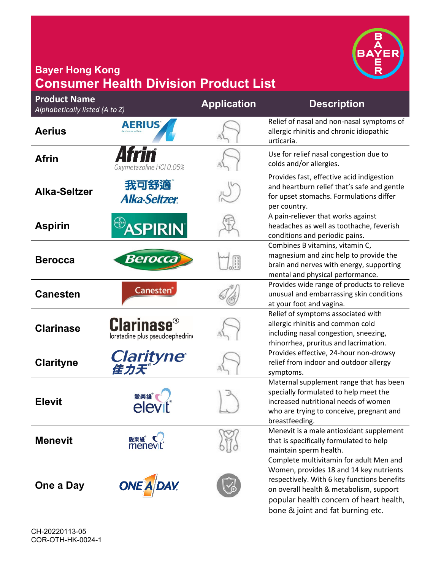

## **Bayer Hong Kong Consumer Health Division Product List**

| <b>Product Name</b><br>Alphabetically listed (A to Z) |                                                                 | <b>Application</b> | <b>Description</b>                                                                                                                                                                                                                                           |
|-------------------------------------------------------|-----------------------------------------------------------------|--------------------|--------------------------------------------------------------------------------------------------------------------------------------------------------------------------------------------------------------------------------------------------------------|
| <b>Aerius</b>                                         | <b>AERIUS</b>                                                   |                    | Relief of nasal and non-nasal symptoms of<br>allergic rhinitis and chronic idiopathic<br>urticaria.                                                                                                                                                          |
| <b>Afrin</b>                                          | Oxymetazoline HCl 0.05%                                         |                    | Use for relief nasal congestion due to<br>colds and/or allergies.                                                                                                                                                                                            |
| <b>Alka-Seltzer</b>                                   | 我可舒適<br><b>Alka-Seltzer</b>                                     |                    | Provides fast, effective acid indigestion<br>and heartburn relief that's safe and gentle<br>for upset stomachs. Formulations differ<br>per country.                                                                                                          |
| <b>Aspirin</b>                                        | <b>SPIRIN</b>                                                   |                    | A pain-reliever that works against<br>headaches as well as toothache, feverish<br>conditions and periodic pains.                                                                                                                                             |
| <b>Berocca</b>                                        | Berocca                                                         |                    | Combines B vitamins, vitamin C,<br>magnesium and zinc help to provide the<br>brain and nerves with energy, supporting<br>mental and physical performance.                                                                                                    |
| <b>Canesten</b>                                       | Canesten®                                                       |                    | Provides wide range of products to relieve<br>unusual and embarrassing skin conditions<br>at your foot and vagina.                                                                                                                                           |
| <b>Clarinase</b>                                      | <b>Clarinase<sup>®</sup></b><br>loratadine plus pseudoephedrine |                    | Relief of symptoms associated with<br>allergic rhinitis and common cold<br>including nasal congestion, sneezing,<br>rhinorrhea, pruritus and lacrimation.                                                                                                    |
| <b>Clarityne</b>                                      | Clarityne®                                                      |                    | Provides effective, 24-hour non-drowsy<br>relief from indoor and outdoor allergy<br>symptoms.                                                                                                                                                                |
| <b>Elevit</b>                                         |                                                                 |                    | Maternal supplement range that has been<br>specially formulated to help meet the<br>increased nutritional needs of women<br>who are trying to conceive, pregnant and<br>breastfeeding.                                                                       |
| <b>Menevit</b>                                        | 愛樂維<br>menev                                                    |                    | Menevit is a male antioxidant supplement<br>that is specifically formulated to help<br>maintain sperm health.                                                                                                                                                |
| One a Day                                             | <b>ONE A DAY</b>                                                |                    | Complete multivitamin for adult Men and<br>Women, provides 18 and 14 key nutrients<br>respectively. With 6 key functions benefits<br>on overall health & metabolism, support<br>popular health concern of heart health,<br>bone & joint and fat burning etc. |